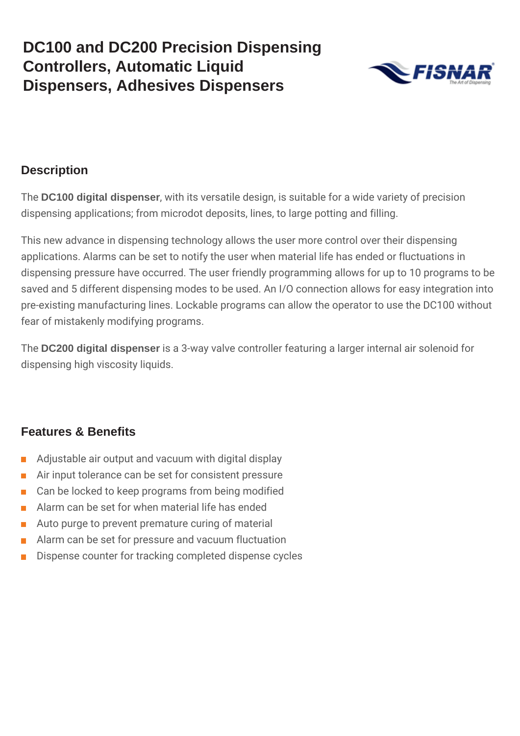

#### **Description**

The **DC100 digital dispenser**, with its versatile design, is suitable for a wide variety of precision dispensing applications; from microdot deposits, lines, to large potting and filling.

This new advance in dispensing technology allows the user more control over their dispensing applications. Alarms can be set to notify the user when material life has ended or fluctuations in dispensing pressure have occurred. The user friendly programming allows for up to 10 programs to be saved and 5 different dispensing modes to be used. An I/O connection allows for easy integration into pre-existing manufacturing lines. Lockable programs can allow the operator to use the DC100 without fear of mistakenly modifying programs.

The **DC200 digital dispenser** is a 3-way valve controller featuring a larger internal air solenoid for dispensing high viscosity liquids.

#### **Features & Benefits**

- Adjustable air output and vacuum with digital display  $\mathcal{C}^{\mathcal{A}}$
- Air input tolerance can be set for consistent pressure  $\blacksquare$
- Can be locked to keep programs from being modified  $\overline{\phantom{a}}$
- Alarm can be set for when material life has ended  $\mathcal{L}_{\mathcal{A}}$
- **Auto purge to prevent premature curing of material**
- Alarm can be set for pressure and vacuum fluctuation  $\mathbf{r}$
- Dispense counter for tracking completed dispense cycles  $\mathcal{L}_{\mathcal{A}}$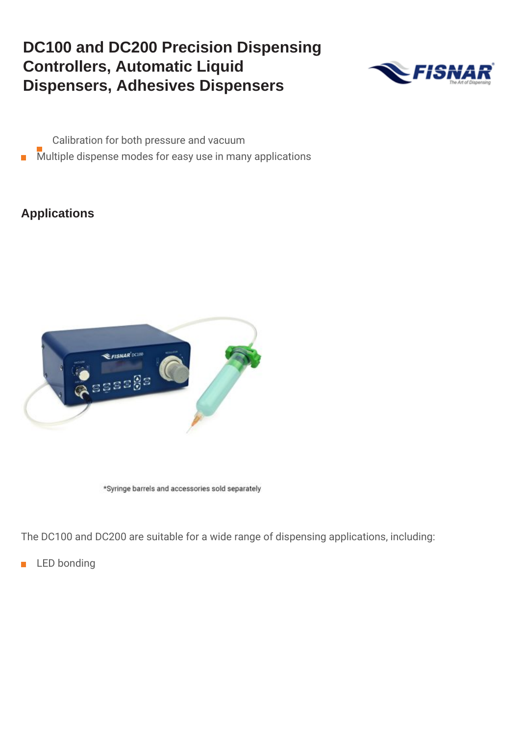

- Calibration for both pressure and vacuum
- $\blacksquare$  Multiple dispense modes for easy use in many applications

#### **Applications**



\*Syringe barrels and accessories sold separately

The DC100 and DC200 are suitable for a wide range of dispensing applications, including:

**LED** bonding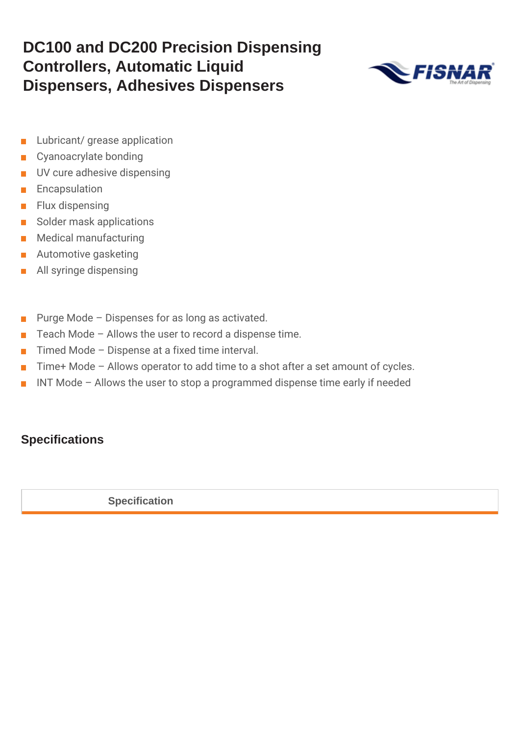

- Lubricant/ grease application  $\blacksquare$
- Cyanoacrylate bonding  $\Box$
- **UV** cure adhesive dispensing
- Encapsulation  $\sim$
- $\blacksquare$  Flux dispensing
- Solder mask applications
- **Medical manufacturing**
- **Automotive gasketing**
- **All syringe dispensing**
- Purge Mode Dispenses for as long as activated.  $\mathbb{R}^n$
- Teach Mode Allows the user to record a dispense time.  $\mathcal{L}_{\mathcal{A}}$
- Timed Mode Dispense at a fixed time interval.  $\mathcal{L}_{\mathcal{A}}$
- Time+ Mode Allows operator to add time to a shot after a set amount of cycles.  $\mathbb{R}^n$
- INT Mode Allows the user to stop a programmed dispense time early if needed  $\blacksquare$

#### **Specifications**

**Specification**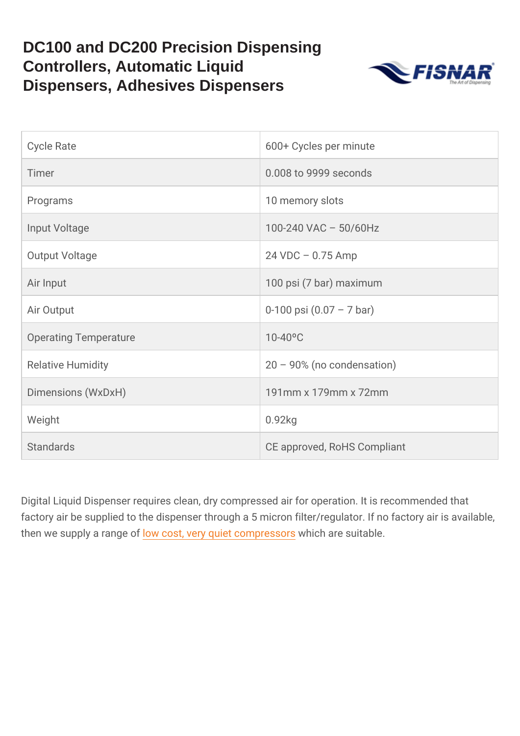| Cycle Rate            | 600+ Cycles per minute      |
|-----------------------|-----------------------------|
| Timer                 | 0.008 to 9999 seconds       |
| Programs              | 10 memory slots             |
| Input Voltage         | 100-240 VAC 50/60Hz         |
| Output Voltage        | 24 VDC 0.75 Amp             |
| Air Input             | 100 psi (7 bar) maximum     |
| Air Output            | 0-100 psi (0.07 7 bar)      |
| Operating Temperature | $10 - 40^{\circ}C$          |
| Relative Humidity     | 20 90% (no condensation)    |
| Dimensions (WxDxH)    | 191mm x 179mm x 72mm        |
| Weight                | $0.92$ kg                   |
| Standards             | CE approved, RoHS Compliant |

Digital Liquid Dispenser requires clean, dry compressed air for op factory air be supplied to the dispenser through a 5 micron filter/r then we supply a dorwangoes to, f very quiet cwo mips hease rssuitable.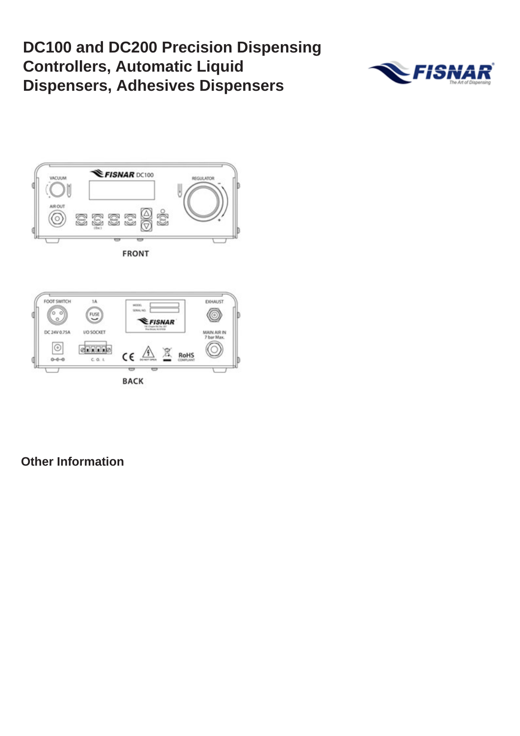



**FRONT** 



**Other Information**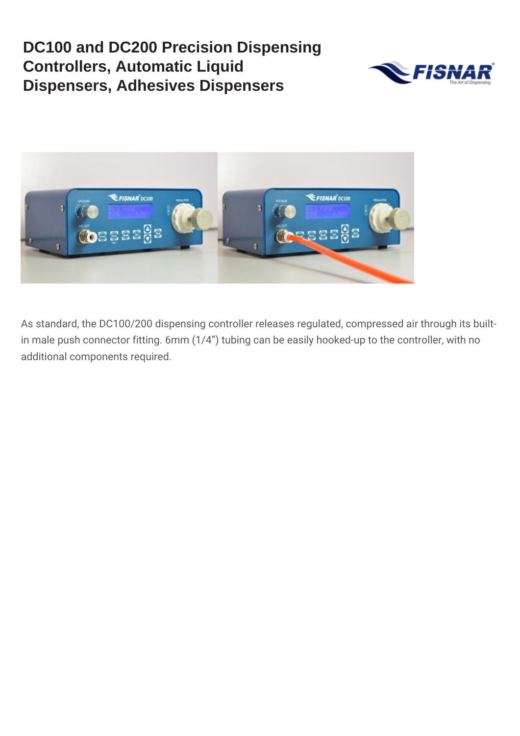



As standard, the DC100/200 dispensing controller releases regulated, compressed air through its builtin male push connector fitting. 6mm (1/4") tubing can be easily hooked-up to the controller, with no additional components required.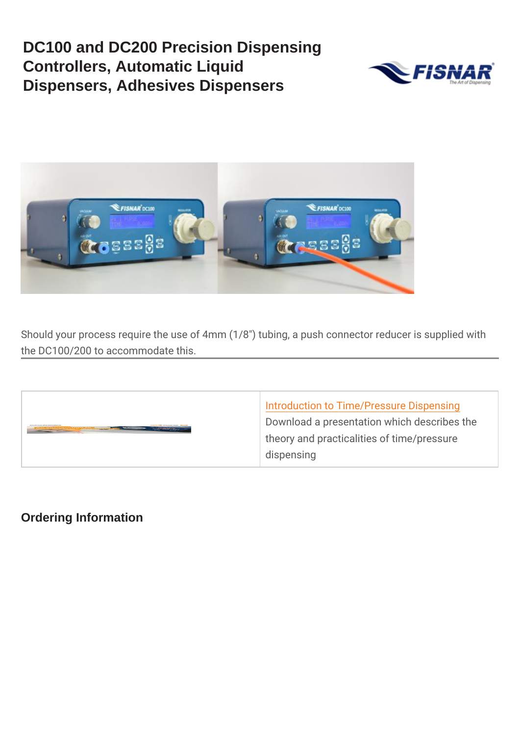Should your process require the use of 4mm (1/83) tubing, a push the DC100/200 to accommodate this.

| Introduction to Time/Pressure Dis   |  |
|-------------------------------------|--|
| Download a presentation which de    |  |
| theory and practicalities of time/p |  |
| dispensing                          |  |

Ordering Information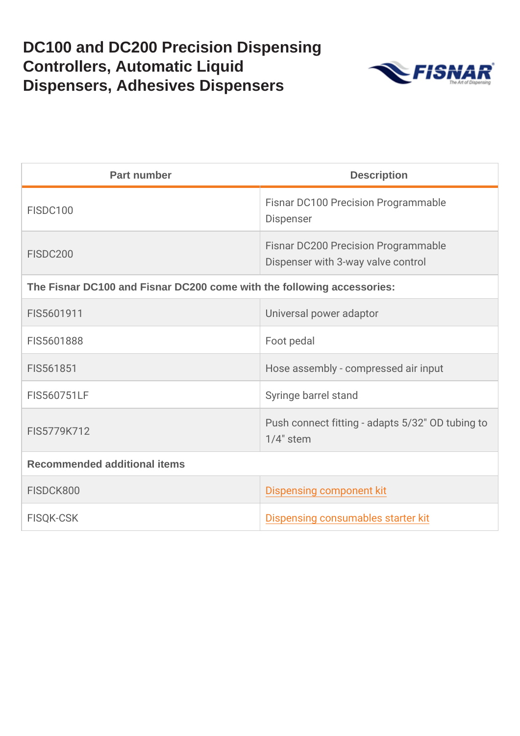| Part number                                                            | Description                                                          |  |
|------------------------------------------------------------------------|----------------------------------------------------------------------|--|
| <b>FISDC100</b>                                                        | Fisnar DC100 Precision Programm<br>Dispenser                         |  |
| FISDC200                                                               | Fisnar DC200 Precision Programm<br>Dispenser with 3-way valve contro |  |
| The Fisnar DC100 and Fisnar DC200 come with the following accessories: |                                                                      |  |
| FIS5601911                                                             | Universal power adaptor                                              |  |
| FIS5601888                                                             | Foot pedal                                                           |  |
| FIS561851                                                              | Hose assembly - compressed air i                                     |  |
| FIS560751LF                                                            | Syringe barrel stand                                                 |  |
| FIS5779K712                                                            | Push connect fitting - adapts 5/32<br>$1/4$ " stem                   |  |
| Recommended additional items                                           |                                                                      |  |
| FISDCK800                                                              | Dispensing component kit                                             |  |
| FISQK-CSK                                                              | Dispensing consumables starter kl                                    |  |